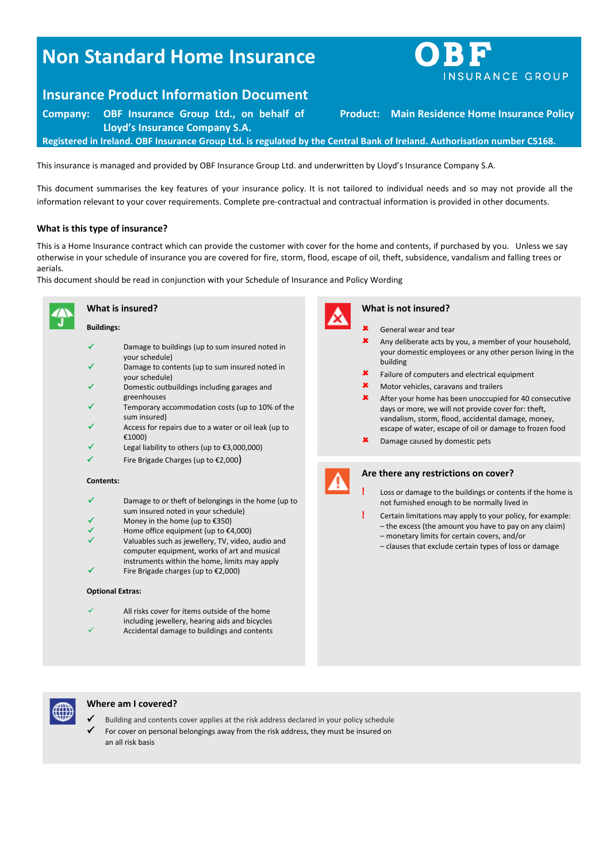# **Non Standard Home Insurance**

# **Insurance Product Information Document**

**Company: OBF Insurance Group Ltd., on behalf of Lloyd's Insurance Company S.A.**

**Product: Main Residence Home Insurance Policy**

**Registered in Ireland. OBF Insurance Group Ltd. is regulated by the Central Bank of Ireland. Authorisation number C5168.**

This insurance is managed and provided by OBF Insurance Group Ltd. and underwritten by Lloyd's Insurance Company S.A.

This document summarises the key features of your insurance policy. It is not tailored to individual needs and so may not provide all the information relevant to your cover requirements. Complete pre-contractual and contractual information is provided in other documents.

# **What is this type of insurance?**

This is a Home Insurance contract which can provide the customer with cover for the home and contents, if purchased by you. Unless we say otherwise in your schedule of insurance you are covered for fire, storm, flood, escape of oil, theft, subsidence, vandalism and falling trees or aerials.

This document should be read in conjunction with your Schedule of Insurance and Policy Wording



### **What is insured?**

#### **Buildings:**

- $\checkmark$  Damage to buildings (up to sum insured noted in your schedule)
- Damage to contents (up to sum insured noted in your schedule)
- Domestic outbuildings including garages and greenhouses
- Temporary accommodation costs (up to 10% of the sum insured)
- $\checkmark$  Access for repairs due to a water or oil leak (up to €1000)
- Legal liability to others (up to €3,000,000)
- Fire Brigade Charges (up to €2,000)

#### **Contents:**

- Damage to or theft of belongings in the home (up to sum insured noted in your schedule)
- Money in the home (up to €350)
- Home office equipment (up to €4,000)
- Valuables such as jewellery, TV, video, audio and computer equipment, works of art and musical instruments within the home, limits may apply Fire Brigade charges (up to €2,000)

#### **Optional Extras:**

- All risks cover for items outside of the home including jewellery, hearing aids and bicycles
- Accidental damage to buildings and contents



#### **What is not insured?**

- General wear and tear
- Any deliberate acts by you, a member of your household, your domestic employees or any other person living in the building
- Failure of computers and electrical equipment
- Motor vehicles, caravans and trailers
- After your home has been unoccupied for 40 consecutive days or more, we will not provide cover for: theft, vandalism, storm, flood, accidental damage, money, escape of water, escape of oil or damage to frozen food
- Damage caused by domestic pets



#### **Are there any restrictions on cover?**

- **!** Loss or damage to the buildings or contents if the home is not furnished enough to be normally lived in
- **!** Certain limitations may apply to your policy, for example: – the excess (the amount you have to pay on any claim)
	- monetary limits for certain covers, and/or – clauses that exclude certain types of loss or damage



# **Where am I covered?**

- Building and contents cover applies at the risk address declared in your policy schedule
- For cover on personal belongings away from the risk address, they must be insured on an all risk basis